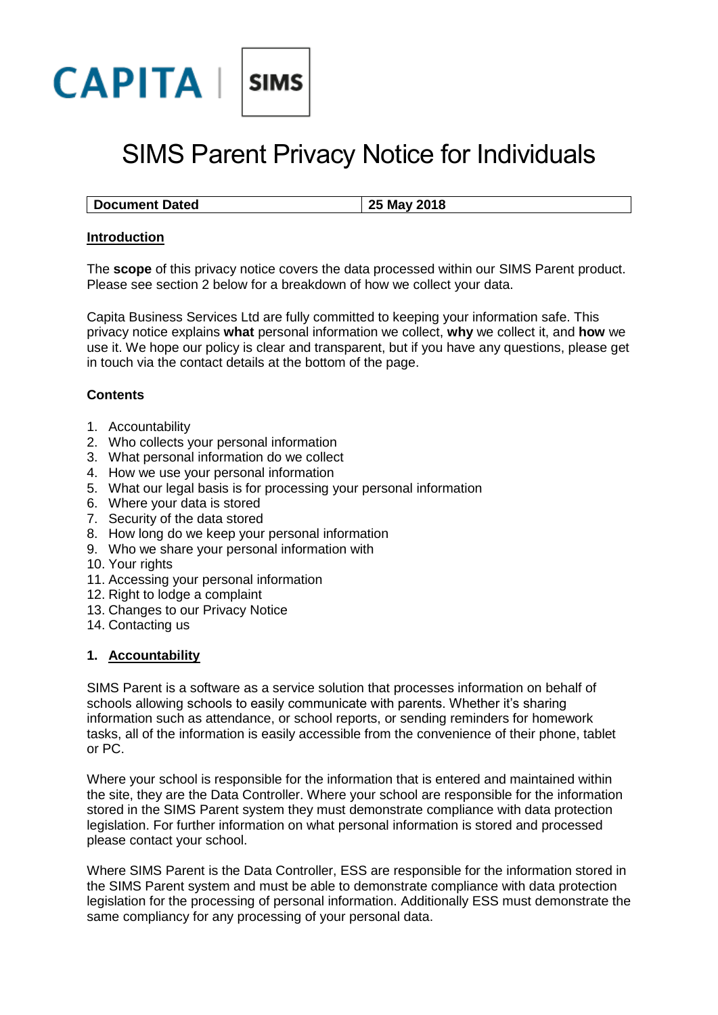

# SIMS Parent Privacy Notice for Individuals

| <b>Document Dated</b> | 25 May 2018 |
|-----------------------|-------------|

# **Introduction**

The **scope** of this privacy notice covers the data processed within our SIMS Parent product. Please see section 2 below for a breakdown of how we collect your data.

Capita Business Services Ltd are fully committed to keeping your information safe. This privacy notice explains **what** personal information we collect, **why** we collect it, and **how** we use it. We hope our policy is clear and transparent, but if you have any questions, please get in touch via the contact details at the bottom of the page.

# **Contents**

- 1. Accountability
- 2. Who collects your personal information
- 3. What personal information do we collect
- 4. How we use your personal information
- 5. What our legal basis is for processing your personal information
- 6. Where your data is stored
- 7. Security of the data stored
- 8. How long do we keep your personal information
- 9. Who we share your personal information with
- 10. Your rights
- 11. Accessing your personal information
- 12. Right to lodge a complaint
- 13. Changes to our Privacy Notice
- 14. Contacting us

#### **1. Accountability**

SIMS Parent is a software as a service solution that processes information on behalf of schools allowing schools to easily communicate with parents. Whether it's sharing information such as attendance, or school reports, or sending reminders for homework tasks, all of the information is easily accessible from the convenience of their phone, tablet or PC.

Where your school is responsible for the information that is entered and maintained within the site, they are the Data Controller. Where your school are responsible for the information stored in the SIMS Parent system they must demonstrate compliance with data protection legislation. For further information on what personal information is stored and processed please contact your school.

Where SIMS Parent is the Data Controller, ESS are responsible for the information stored in the SIMS Parent system and must be able to demonstrate compliance with data protection legislation for the processing of personal information. Additionally ESS must demonstrate the same compliancy for any processing of your personal data.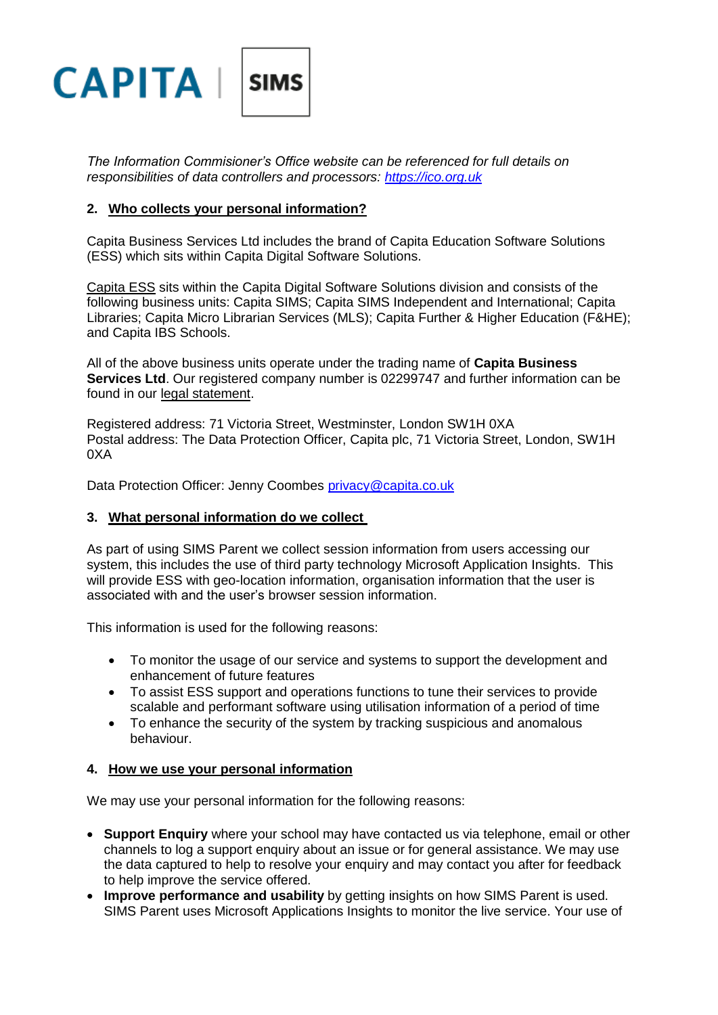

*The Information Commisioner's Office website can be referenced for full details on responsibilities of data controllers and processors: [https://ico.org.uk](https://ico.org.uk/)*

# **2. Who collects your personal information?**

Capita Business Services Ltd includes the brand of Capita Education Software Solutions (ESS) which sits within Capita Digital Software Solutions.

Capita ESS sits within the Capita Digital Software Solutions division and consists of the following business units: Capita SIMS; Capita SIMS Independent and International; Capita Libraries; Capita Micro Librarian Services (MLS); Capita Further & Higher Education (F&HE); and Capita IBS Schools.

All of the above business units operate under the trading name of **Capita Business Services Ltd**. Our registered company number is 02299747 and further information can be found in our [legal statement.](http://www.capita-sims.co.uk/legal-statement)

Registered address: 71 Victoria Street, Westminster, London SW1H 0XA Postal address: The Data Protection Officer, Capita plc, 71 Victoria Street, London, SW1H 0XA

Data Protection Officer: Jenny Coombes [privacy@capita.co.uk](mailto:privacy@capita.co.uk)

# **3. What personal information do we collect**

As part of using SIMS Parent we collect session information from users accessing our system, this includes the use of third party technology Microsoft Application Insights. This will provide ESS with geo-location information, organisation information that the user is associated with and the user's browser session information.

This information is used for the following reasons:

- To monitor the usage of our service and systems to support the development and enhancement of future features
- To assist ESS support and operations functions to tune their services to provide scalable and performant software using utilisation information of a period of time
- To enhance the security of the system by tracking suspicious and anomalous behaviour.

#### **4. How we use your personal information**

We may use your personal information for the following reasons:

- **Support Enquiry** where your school may have contacted us via telephone, email or other channels to log a support enquiry about an issue or for general assistance. We may use the data captured to help to resolve your enquiry and may contact you after for feedback to help improve the service offered.
- **Improve performance and usability** by getting insights on how SIMS Parent is used. SIMS Parent uses Microsoft Applications Insights to monitor the live service. Your use of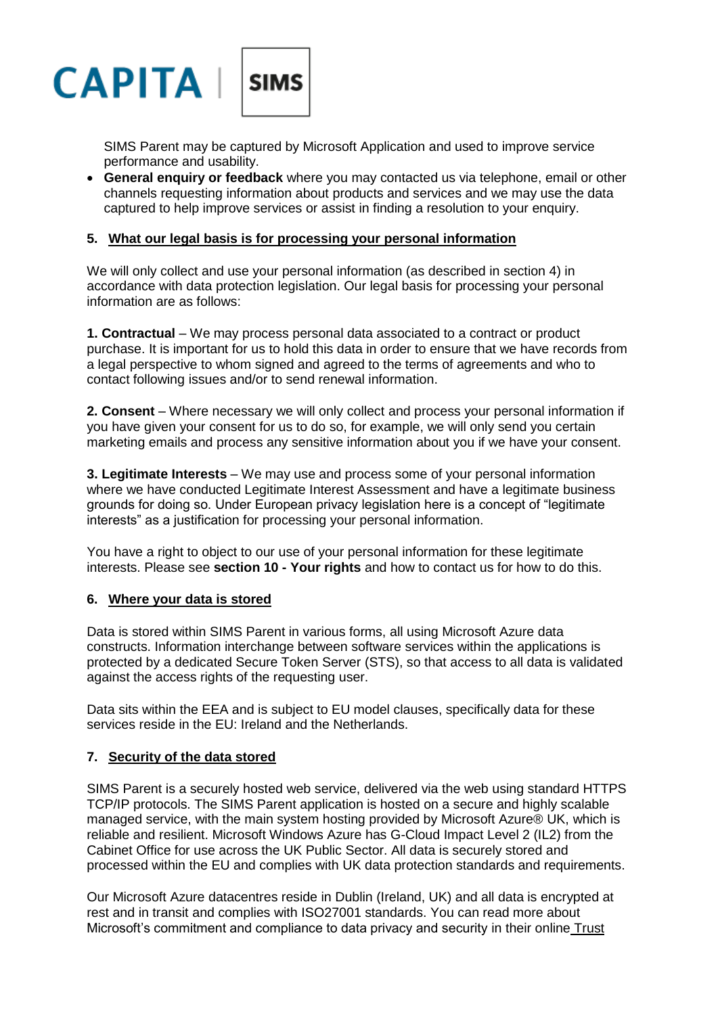

SIMS Parent may be captured by Microsoft Application and used to improve service performance and usability.

 **General enquiry or feedback** where you may contacted us via telephone, email or other channels requesting information about products and services and we may use the data captured to help improve services or assist in finding a resolution to your enquiry.

# **5. What our legal basis is for processing your personal information**

We will only collect and use your personal information (as described in section 4) in accordance with data protection legislation. Our legal basis for processing your personal information are as follows:

**1. Contractual** – We may process personal data associated to a contract or product purchase. It is important for us to hold this data in order to ensure that we have records from a legal perspective to whom signed and agreed to the terms of agreements and who to contact following issues and/or to send renewal information.

**2. Consent** – Where necessary we will only collect and process your personal information if you have given your consent for us to do so, for example, we will only send you certain marketing emails and process any sensitive information about you if we have your consent.

**3. Legitimate Interests** – We may use and process some of your personal information where we have conducted Legitimate Interest Assessment and have a legitimate business grounds for doing so. Under European privacy legislation here is a concept of "legitimate interests" as a justification for processing your personal information.

You have a right to object to our use of your personal information for these legitimate interests. Please see **section 10 - Your rights** and how to contact us for how to do this.

#### **6. Where your data is stored**

Data is stored within SIMS Parent in various forms, all using Microsoft Azure data constructs. Information interchange between software services within the applications is protected by a dedicated Secure Token Server (STS), so that access to all data is validated against the access rights of the requesting user.

Data sits within the EEA and is subject to EU model clauses, specifically data for these services reside in the EU: Ireland and the Netherlands.

#### **7. Security of the data stored**

SIMS Parent is a securely hosted web service, delivered via the web using standard HTTPS TCP/IP protocols. The SIMS Parent application is hosted on a secure and highly scalable managed service, with the main system hosting provided by Microsoft Azure® UK, which is reliable and resilient. Microsoft Windows Azure has G-Cloud Impact Level 2 (IL2) from the Cabinet Office for use across the UK Public Sector. All data is securely stored and processed within the EU and complies with UK data protection standards and requirements.

Our Microsoft Azure datacentres reside in Dublin (Ireland, UK) and all data is encrypted at rest and in transit and complies with ISO27001 standards. You can read more about Microsoft's commitment and compliance to data privacy and security in their online Trust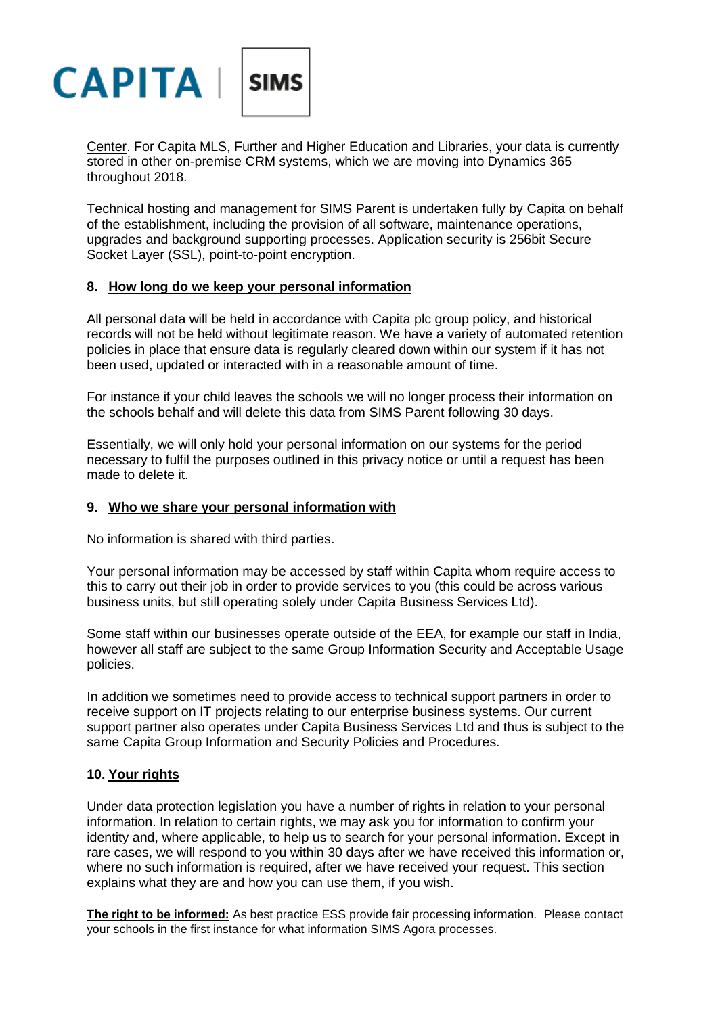

[Center.](https://www.microsoft.com/en-us/trustcenter) For Capita MLS, Further and Higher Education and Libraries, your data is currently stored in other on-premise CRM systems, which we are moving into Dynamics 365 throughout 2018.

Technical hosting and management for SIMS Parent is undertaken fully by Capita on behalf of the establishment, including the provision of all software, maintenance operations, upgrades and background supporting processes. Application security is 256bit Secure Socket Layer (SSL), point-to-point encryption.

### **8. How long do we keep your personal information**

All personal data will be held in accordance with Capita plc group policy, and historical records will not be held without legitimate reason. We have a variety of automated retention policies in place that ensure data is regularly cleared down within our system if it has not been used, updated or interacted with in a reasonable amount of time.

For instance if your child leaves the schools we will no longer process their information on the schools behalf and will delete this data from SIMS Parent following 30 days.

Essentially, we will only hold your personal information on our systems for the period necessary to fulfil the purposes outlined in this privacy notice or until a request has been made to delete it.

# **9. Who we share your personal information with**

No information is shared with third parties.

Your personal information may be accessed by staff within Capita whom require access to this to carry out their job in order to provide services to you (this could be across various business units, but still operating solely under Capita Business Services Ltd).

Some staff within our businesses operate outside of the EEA, for example our staff in India, however all staff are subject to the same Group Information Security and Acceptable Usage policies.

In addition we sometimes need to provide access to technical support partners in order to receive support on IT projects relating to our enterprise business systems. Our current support partner also operates under Capita Business Services Ltd and thus is subject to the same Capita Group Information and Security Policies and Procedures.

#### **10. Your rights**

Under data protection legislation you have a number of rights in relation to your personal information. In relation to certain rights, we may ask you for information to confirm your identity and, where applicable, to help us to search for your personal information. Except in rare cases, we will respond to you within 30 days after we have received this information or, where no such information is required, after we have received your request. This section explains what they are and how you can use them, if you wish.

**The right to be informed:** As best practice ESS provide fair processing information. Please contact your schools in the first instance for what information SIMS Agora processes.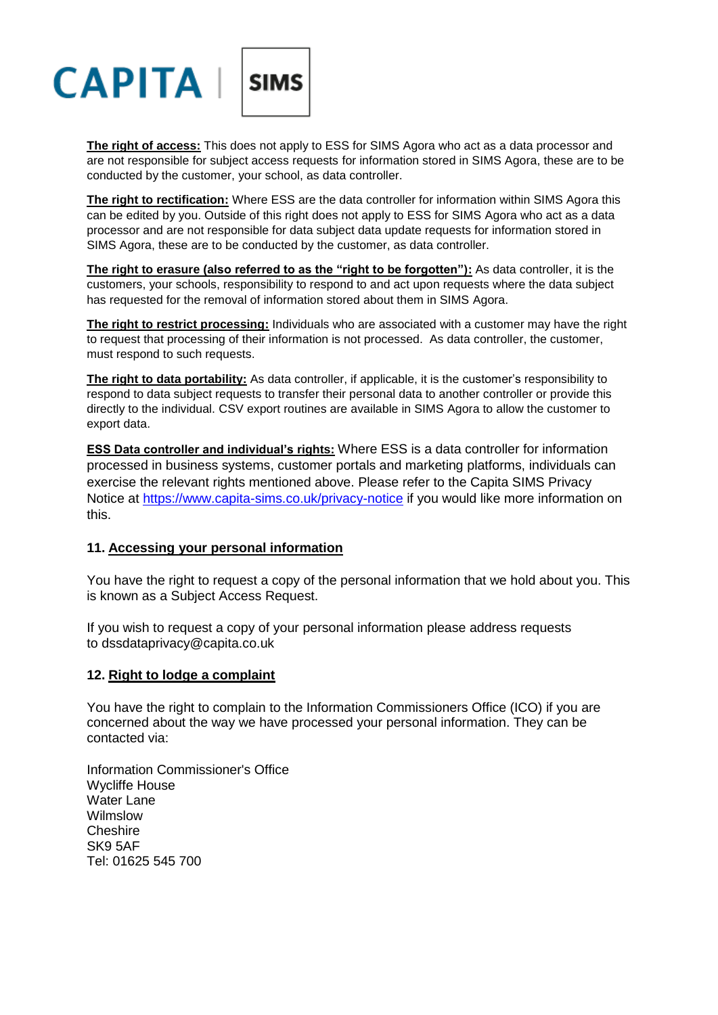

**The right of access:** This does not apply to ESS for SIMS Agora who act as a data processor and are not responsible for subject access requests for information stored in SIMS Agora, these are to be conducted by the customer, your school, as data controller.

**The right to rectification:** Where ESS are the data controller for information within SIMS Agora this can be edited by you. Outside of this right does not apply to ESS for SIMS Agora who act as a data processor and are not responsible for data subject data update requests for information stored in SIMS Agora, these are to be conducted by the customer, as data controller.

**The right to erasure (also referred to as the "right to be forgotten"):** As data controller, it is the customers, your schools, responsibility to respond to and act upon requests where the data subject has requested for the removal of information stored about them in SIMS Agora.

**The right to restrict processing:** Individuals who are associated with a customer may have the right to request that processing of their information is not processed. As data controller, the customer, must respond to such requests.

**The right to data portability:** As data controller, if applicable, it is the customer's responsibility to respond to data subject requests to transfer their personal data to another controller or provide this directly to the individual. CSV export routines are available in SIMS Agora to allow the customer to export data.

**ESS Data controller and individual's rights:** Where ESS is a data controller for information processed in business systems, customer portals and marketing platforms, individuals can exercise the relevant rights mentioned above. Please refer to the Capita SIMS Privacy Notice at<https://www.capita-sims.co.uk/privacy-notice> if you would like more information on this.

#### **11. Accessing your personal information**

You have the right to request a copy of the personal information that we hold about you. This is known as a Subject Access Request.

If you wish to request a copy of your personal information please address requests to dssdataprivacy@capita.co.uk

#### **12. Right to lodge a complaint**

You have the right to complain to the Information Commissioners Office (ICO) if you are concerned about the way we have processed your personal information. They can be contacted via:

Information Commissioner's Office Wycliffe House Water Lane Wilmslow Cheshire SK9 5AF Tel: 01625 545 700